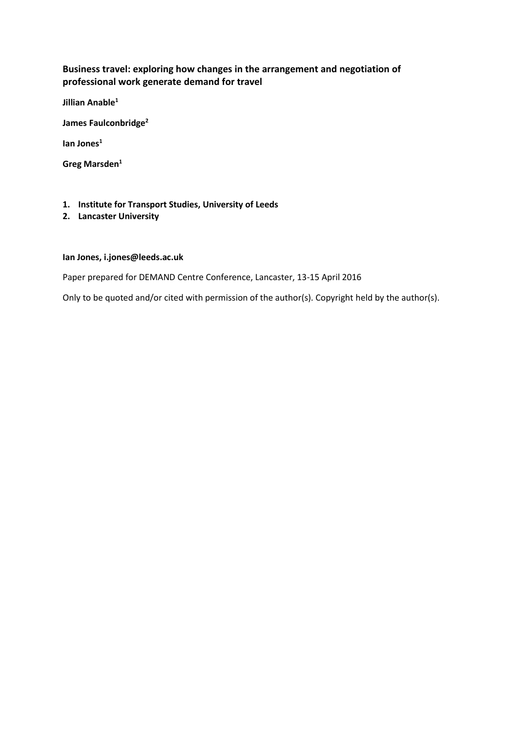# **Business travel: exploring how changes in the arrangement and negotiation of professional work generate demand for travel**

**Jillian Anable<sup>1</sup>**

**James Faulconbridge<sup>2</sup>**

**Ian Jones<sup>1</sup>**

**Greg Marsden<sup>1</sup>**

#### **1. Institute for Transport Studies, University of Leeds**

**2. Lancaster University**

#### **Ian Jones, i.jones@leeds.ac.uk**

Paper prepared for DEMAND Centre Conference, Lancaster, 13-15 April 2016

Only to be quoted and/or cited with permission of the author(s). Copyright held by the author(s).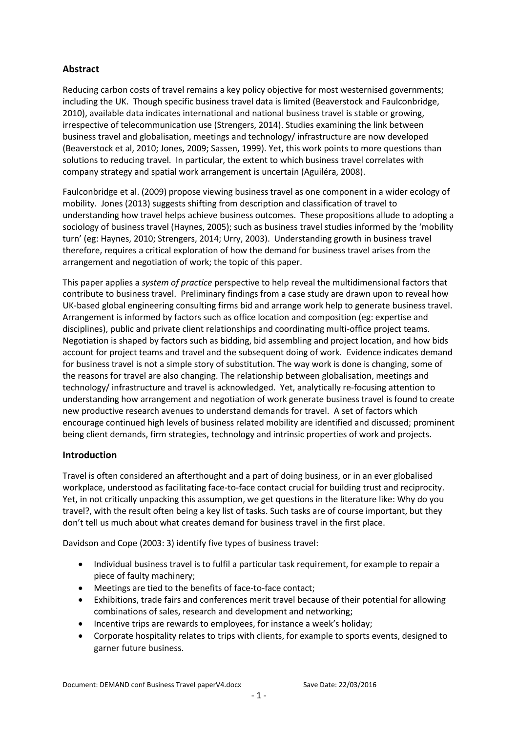# **Abstract**

Reducing carbon costs of travel remains a key policy objective for most westernised governments; including the UK. Though specific business travel data is limited (Beaverstock and Faulconbridge, 2010), available data indicates international and national business travel is stable or growing, irrespective of telecommunication use (Strengers, 2014). Studies examining the link between business travel and globalisation, meetings and technology/ infrastructure are now developed (Beaverstock et al, 2010; Jones, 2009; Sassen, 1999). Yet, this work points to more questions than solutions to reducing travel. In particular, the extent to which business travel correlates with company strategy and spatial work arrangement is uncertain (Aguiléra, 2008).

Faulconbridge et al. (2009) propose viewing business travel as one component in a wider ecology of mobility. Jones (2013) suggests shifting from description and classification of travel to understanding how travel helps achieve business outcomes. These propositions allude to adopting a sociology of business travel (Haynes, 2005); such as business travel studies informed by the 'mobility turn' (eg: Haynes, 2010; Strengers, 2014; Urry, 2003). Understanding growth in business travel therefore, requires a critical exploration of how the demand for business travel arises from the arrangement and negotiation of work; the topic of this paper.

This paper applies a *system of practice* perspective to help reveal the multidimensional factors that contribute to business travel. Preliminary findings from a case study are drawn upon to reveal how UK-based global engineering consulting firms bid and arrange work help to generate business travel. Arrangement is informed by factors such as office location and composition (eg: expertise and disciplines), public and private client relationships and coordinating multi-office project teams. Negotiation is shaped by factors such as bidding, bid assembling and project location, and how bids account for project teams and travel and the subsequent doing of work. Evidence indicates demand for business travel is not a simple story of substitution. The way work is done is changing, some of the reasons for travel are also changing. The relationship between globalisation, meetings and technology/ infrastructure and travel is acknowledged. Yet, analytically re-focusing attention to understanding how arrangement and negotiation of work generate business travel is found to create new productive research avenues to understand demands for travel. A set of factors which encourage continued high levels of business related mobility are identified and discussed; prominent being client demands, firm strategies, technology and intrinsic properties of work and projects.

## **Introduction**

Travel is often considered an afterthought and a part of doing business, or in an ever globalised workplace, understood as facilitating face-to-face contact crucial for building trust and reciprocity. Yet, in not critically unpacking this assumption, we get questions in the literature like: Why do you travel?, with the result often being a key list of tasks. Such tasks are of course important, but they don't tell us much about what creates demand for business travel in the first place.

Davidson and Cope (2003: 3) identify five types of business travel:

- Individual business travel is to fulfil a particular task requirement, for example to repair a piece of faulty machinery;
- Meetings are tied to the benefits of face-to-face contact;
- Exhibitions, trade fairs and conferences merit travel because of their potential for allowing combinations of sales, research and development and networking;
- Incentive trips are rewards to employees, for instance a week's holiday;
- Corporate hospitality relates to trips with clients, for example to sports events, designed to garner future business.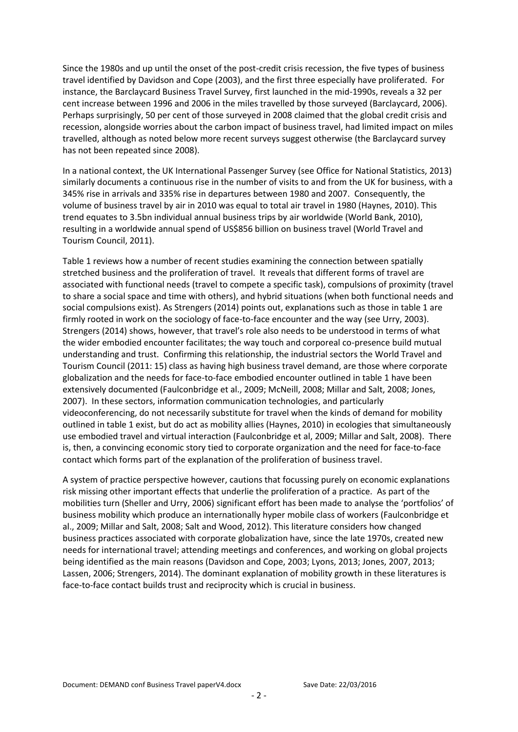Since the 1980s and up until the onset of the post-credit crisis recession, the five types of business travel identified by Davidson and Cope (2003), and the first three especially have proliferated. For instance, the Barclaycard Business Travel Survey, first launched in the mid-1990s, reveals a 32 per cent increase between 1996 and 2006 in the miles travelled by those surveyed (Barclaycard, 2006). Perhaps surprisingly, 50 per cent of those surveyed in 2008 claimed that the global credit crisis and recession, alongside worries about the carbon impact of business travel, had limited impact on miles travelled, although as noted below more recent surveys suggest otherwise (the Barclaycard survey has not been repeated since 2008).

In a national context, the UK International Passenger Survey (see Office for National Statistics, 2013) similarly documents a continuous rise in the number of visits to and from the UK for business, with a 345% rise in arrivals and 335% rise in departures between 1980 and 2007. Consequently, the volume of business travel by air in 2010 was equal to total air travel in 1980 (Haynes, 2010). This trend equates to 3.5bn individual annual business trips by air worldwide (World Bank, 2010), resulting in a worldwide annual spend of US\$856 billion on business travel (World Travel and Tourism Council, 2011).

Table 1 reviews how a number of recent studies examining the connection between spatially stretched business and the proliferation of travel. It reveals that different forms of travel are associated with functional needs (travel to compete a specific task), compulsions of proximity (travel to share a social space and time with others), and hybrid situations (when both functional needs and social compulsions exist). As Strengers (2014) points out, explanations such as those in table 1 are firmly rooted in work on the sociology of face-to-face encounter and the way (see Urry, 2003). Strengers (2014) shows, however, that travel's role also needs to be understood in terms of what the wider embodied encounter facilitates; the way touch and corporeal co-presence build mutual understanding and trust. Confirming this relationship, the industrial sectors the World Travel and Tourism Council (2011: 15) class as having high business travel demand, are those where corporate globalization and the needs for face-to-face embodied encounter outlined in table 1 have been extensively documented (Faulconbridge et al., 2009; McNeill, 2008; Millar and Salt, 2008; Jones, 2007). In these sectors, information communication technologies, and particularly videoconferencing, do not necessarily substitute for travel when the kinds of demand for mobility outlined in table 1 exist, but do act as mobility allies (Haynes, 2010) in ecologies that simultaneously use embodied travel and virtual interaction (Faulconbridge et al, 2009; Millar and Salt, 2008). There is, then, a convincing economic story tied to corporate organization and the need for face-to-face contact which forms part of the explanation of the proliferation of business travel.

A system of practice perspective however, cautions that focussing purely on economic explanations risk missing other important effects that underlie the proliferation of a practice. As part of the mobilities turn (Sheller and Urry, 2006) significant effort has been made to analyse the 'portfolios' of business mobility which produce an internationally hyper mobile class of workers (Faulconbridge et al., 2009; Millar and Salt, 2008; Salt and Wood, 2012). This literature considers how changed business practices associated with corporate globalization have, since the late 1970s, created new needs for international travel; attending meetings and conferences, and working on global projects being identified as the main reasons (Davidson and Cope, 2003; Lyons, 2013; Jones, 2007, 2013; Lassen, 2006; Strengers, 2014). The dominant explanation of mobility growth in these literatures is face-to-face contact builds trust and reciprocity which is crucial in business.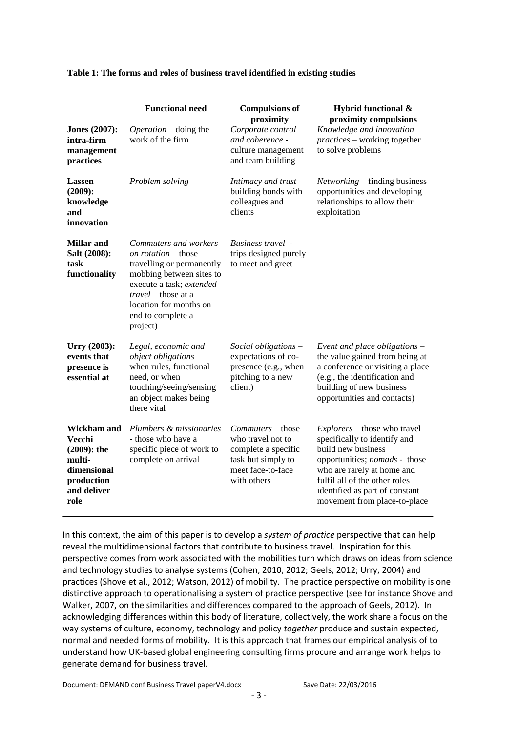|                                                                                                       | <b>Functional need</b>                                                                                                                                                                                                            | <b>Compulsions of</b><br>proximity                                                                                      | Hybrid functional &<br>proximity compulsions                                                                                                                                                                                                         |
|-------------------------------------------------------------------------------------------------------|-----------------------------------------------------------------------------------------------------------------------------------------------------------------------------------------------------------------------------------|-------------------------------------------------------------------------------------------------------------------------|------------------------------------------------------------------------------------------------------------------------------------------------------------------------------------------------------------------------------------------------------|
| <b>Jones</b> (2007):<br>intra-firm<br>management<br>practices                                         | $Operation - doing the$<br>work of the firm                                                                                                                                                                                       | Corporate control<br>and coherence -<br>culture management<br>and team building                                         | Knowledge and innovation<br><i>practices</i> – working together<br>to solve problems                                                                                                                                                                 |
| Lassen<br>$(2009)$ :<br>knowledge<br>and<br>innovation                                                | Problem solving                                                                                                                                                                                                                   | Intimacy and trust $-$<br>building bonds with<br>colleagues and<br>clients                                              | Networking – finding business<br>opportunities and developing<br>relationships to allow their<br>exploitation                                                                                                                                        |
| <b>Millar</b> and<br>Salt (2008):<br>task<br>functionality                                            | Commuters and workers<br><i>on rotation</i> – those<br>travelling or permanently<br>mobbing between sites to<br>execute a task; extended<br><i>travel</i> – those at a<br>location for months on<br>end to complete a<br>project) | Business travel -<br>trips designed purely<br>to meet and greet                                                         |                                                                                                                                                                                                                                                      |
| Urry (2003):<br>events that<br>presence is<br>essential at                                            | Legal, economic and<br>$object$ obligations $-$<br>when rules, functional<br>need, or when<br>touching/seeing/sensing<br>an object makes being<br>there vital                                                                     | Social obligations -<br>expectations of co-<br>presence (e.g., when<br>pitching to a new<br>client)                     | Event and place obligations -<br>the value gained from being at<br>a conference or visiting a place<br>(e.g., the identification and<br>building of new business<br>opportunities and contacts)                                                      |
| Wickham and<br>Vecchi<br>$(2009)$ : the<br>multi-<br>dimensional<br>production<br>and deliver<br>role | Plumbers & missionaries<br>- those who have a<br>specific piece of work to<br>complete on arrival                                                                                                                                 | Commuters – those<br>who travel not to<br>complete a specific<br>task but simply to<br>meet face-to-face<br>with others | Explorers - those who travel<br>specifically to identify and<br>build new business<br>opportunities; nomads - those<br>who are rarely at home and<br>fulfil all of the other roles<br>identified as part of constant<br>movement from place-to-place |

#### **Table 1: The forms and roles of business travel identified in existing studies**

In this context, the aim of this paper is to develop a *system of practice* perspective that can help reveal the multidimensional factors that contribute to business travel. Inspiration for this perspective comes from work associated with the mobilities turn which draws on ideas from science and technology studies to analyse systems (Cohen, 2010, 2012; Geels, 2012; Urry, 2004) and practices (Shove et al., 2012; Watson, 2012) of mobility. The practice perspective on mobility is one distinctive approach to operationalising a system of practice perspective (see for instance Shove and Walker, 2007, on the similarities and differences compared to the approach of Geels, 2012). In acknowledging differences within this body of literature, collectively, the work share a focus on the way systems of culture, economy, technology and policy *together* produce and sustain expected, normal and needed forms of mobility. It is this approach that frames our empirical analysis of to understand how UK-based global engineering consulting firms procure and arrange work helps to generate demand for business travel.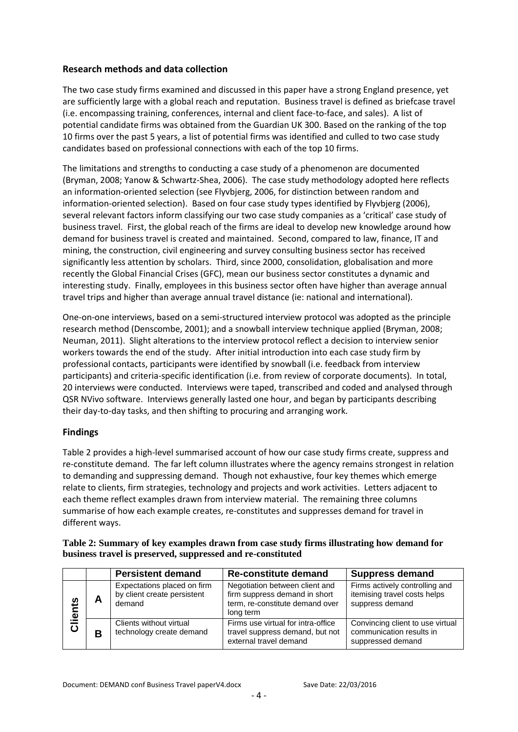## **Research methods and data collection**

The two case study firms examined and discussed in this paper have a strong England presence, yet are sufficiently large with a global reach and reputation. Business travel is defined as briefcase travel (i.e. encompassing training, conferences, internal and client face-to-face, and sales). A list of potential candidate firms was obtained from the Guardian UK 300. Based on the ranking of the top 10 firms over the past 5 years, a list of potential firms was identified and culled to two case study candidates based on professional connections with each of the top 10 firms.

The limitations and strengths to conducting a case study of a phenomenon are documented (Bryman, 2008; Yanow & Schwartz-Shea, 2006). The case study methodology adopted here reflects an information-oriented selection (see Flyvbjerg, 2006, for distinction between random and information-oriented selection). Based on four case study types identified by Flyvbjerg (2006), several relevant factors inform classifying our two case study companies as a 'critical' case study of business travel. First, the global reach of the firms are ideal to develop new knowledge around how demand for business travel is created and maintained. Second, compared to law, finance, IT and mining, the construction, civil engineering and survey consulting business sector has received significantly less attention by scholars. Third, since 2000, consolidation, globalisation and more recently the Global Financial Crises (GFC), mean our business sector constitutes a dynamic and interesting study. Finally, employees in this business sector often have higher than average annual travel trips and higher than average annual travel distance (ie: national and international).

One-on-one interviews, based on a semi-structured interview protocol was adopted as the principle research method (Denscombe, 2001); and a snowball interview technique applied (Bryman, 2008; Neuman, 2011). Slight alterations to the interview protocol reflect a decision to interview senior workers towards the end of the study. After initial introduction into each case study firm by professional contacts, participants were identified by snowball (i.e. feedback from interview participants) and criteria-specific identification (i.e. from review of corporate documents). In total, 20 interviews were conducted. Interviews were taped, transcribed and coded and analysed through QSR NVivo software. Interviews generally lasted one hour, and began by participants describing their day-to-day tasks, and then shifting to procuring and arranging work.

# **Findings**

Table 2 provides a high-level summarised account of how our case study firms create, suppress and re-constitute demand. The far left column illustrates where the agency remains strongest in relation to demanding and suppressing demand. Though not exhaustive, four key themes which emerge relate to clients, firm strategies, technology and projects and work activities. Letters adjacent to each theme reflect examples drawn from interview material. The remaining three columns summarise of how each example creates, re-constitutes and suppresses demand for travel in different ways.

| Table 2: Summary of key examples drawn from case study firms illustrating how demand for |
|------------------------------------------------------------------------------------------|
| business travel is preserved, suppressed and re-constituted                              |

|             |   | <b>Persistent demand</b>                                             | <b>Re-constitute demand</b>                                                                                     | <b>Suppress demand</b>                                                            |
|-------------|---|----------------------------------------------------------------------|-----------------------------------------------------------------------------------------------------------------|-----------------------------------------------------------------------------------|
| lients<br>ပ | Α | Expectations placed on firm<br>by client create persistent<br>demand | Negotiation between client and<br>firm suppress demand in short<br>term, re-constitute demand over<br>long term | Firms actively controlling and<br>itemising travel costs helps<br>suppress demand |
|             | B | Clients without virtual<br>technology create demand                  | Firms use virtual for intra-office<br>travel suppress demand, but not<br>external travel demand                 | Convincing client to use virtual<br>communication results in<br>suppressed demand |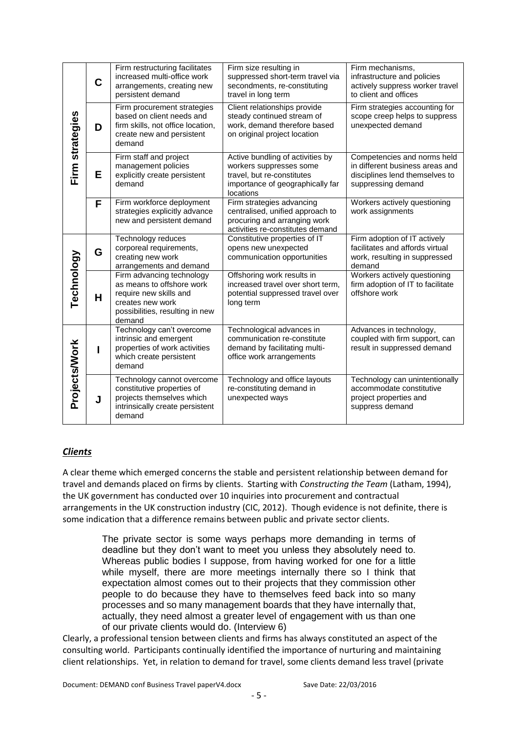| Firm strategies | $\mathbf C$ | Firm restructuring facilitates<br>increased multi-office work<br>arrangements, creating new<br>persistent demand                                  | Firm size resulting in<br>suppressed short-term travel via<br>secondments, re-constituting<br>travel in long term                          | Firm mechanisms,<br>infrastructure and policies<br>actively suppress worker travel<br>to client and offices            |
|-----------------|-------------|---------------------------------------------------------------------------------------------------------------------------------------------------|--------------------------------------------------------------------------------------------------------------------------------------------|------------------------------------------------------------------------------------------------------------------------|
|                 | D           | Firm procurement strategies<br>based on client needs and<br>firm skills, not office location,<br>create new and persistent<br>demand              | Client relationships provide<br>steady continued stream of<br>work, demand therefore based<br>on original project location                 | Firm strategies accounting for<br>scope creep helps to suppress<br>unexpected demand                                   |
|                 | Е           | Firm staff and project<br>management policies<br>explicitly create persistent<br>demand                                                           | Active bundling of activities by<br>workers suppresses some<br>travel, but re-constitutes<br>importance of geographically far<br>locations | Competencies and norms held<br>in different business areas and<br>disciplines lend themselves to<br>suppressing demand |
|                 | F           | Firm workforce deployment<br>strategies explicitly advance<br>new and persistent demand                                                           | Firm strategies advancing<br>centralised, unified approach to<br>procuring and arranging work<br>activities re-constitutes demand          | Workers actively questioning<br>work assignments                                                                       |
|                 | G           | Technology reduces<br>corporeal requirements,<br>creating new work<br>arrangements and demand                                                     | Constitutive properties of IT<br>opens new unexpected<br>communication opportunities                                                       | Firm adoption of IT actively<br>facilitates and affords virtual<br>work, resulting in suppressed<br>demand             |
| Technology      | H           | Firm advancing technology<br>as means to offshore work<br>require new skills and<br>creates new work<br>possibilities, resulting in new<br>demand | Offshoring work results in<br>increased travel over short term,<br>potential suppressed travel over<br>long term                           | Workers actively questioning<br>firm adoption of IT to facilitate<br>offshore work                                     |
| Projects/Work   | ı           | Technology can't overcome<br>intrinsic and emergent<br>properties of work activities<br>which create persistent<br>demand                         | Technological advances in<br>communication re-constitute<br>demand by facilitating multi-<br>office work arrangements                      | Advances in technology,<br>coupled with firm support, can<br>result in suppressed demand                               |
|                 | J           | Technology cannot overcome<br>constitutive properties of<br>projects themselves which<br>intrinsically create persistent<br>demand                | Technology and office layouts<br>re-constituting demand in<br>unexpected ways                                                              | Technology can unintentionally<br>accommodate constitutive<br>project properties and<br>suppress demand                |

# *Clients*

A clear theme which emerged concerns the stable and persistent relationship between demand for travel and demands placed on firms by clients. Starting with *Constructing the Team* (Latham, 1994), the UK government has conducted over 10 inquiries into procurement and contractual arrangements in the UK construction industry (CIC, 2012). Though evidence is not definite, there is some indication that a difference remains between public and private sector clients.

> The private sector is some ways perhaps more demanding in terms of deadline but they don't want to meet you unless they absolutely need to. Whereas public bodies I suppose, from having worked for one for a little while myself, there are more meetings internally there so I think that expectation almost comes out to their projects that they commission other people to do because they have to themselves feed back into so many processes and so many management boards that they have internally that, actually, they need almost a greater level of engagement with us than one of our private clients would do. (Interview 6)

Clearly, a professional tension between clients and firms has always constituted an aspect of the consulting world. Participants continually identified the importance of nurturing and maintaining client relationships. Yet, in relation to demand for travel, some clients demand less travel (private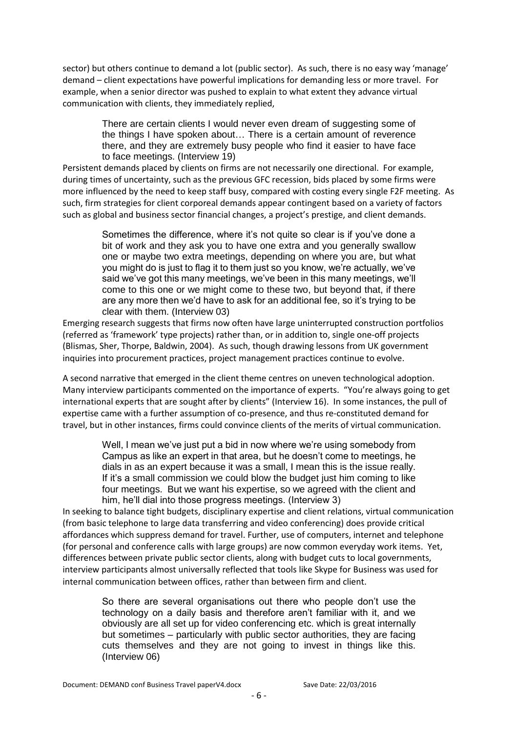sector) but others continue to demand a lot (public sector). As such, there is no easy way 'manage' demand – client expectations have powerful implications for demanding less or more travel. For example, when a senior director was pushed to explain to what extent they advance virtual communication with clients, they immediately replied,

> There are certain clients I would never even dream of suggesting some of the things I have spoken about… There is a certain amount of reverence there, and they are extremely busy people who find it easier to have face to face meetings. (Interview 19)

Persistent demands placed by clients on firms are not necessarily one directional. For example, during times of uncertainty, such as the previous GFC recession, bids placed by some firms were more influenced by the need to keep staff busy, compared with costing every single F2F meeting. As such, firm strategies for client corporeal demands appear contingent based on a variety of factors such as global and business sector financial changes, a project's prestige, and client demands.

> Sometimes the difference, where it's not quite so clear is if you've done a bit of work and they ask you to have one extra and you generally swallow one or maybe two extra meetings, depending on where you are, but what you might do is just to flag it to them just so you know, we're actually, we've said we've got this many meetings, we've been in this many meetings, we'll come to this one or we might come to these two, but beyond that, if there are any more then we'd have to ask for an additional fee, so it's trying to be clear with them. (Interview 03)

Emerging research suggests that firms now often have large uninterrupted construction portfolios (referred as 'framework' type projects) rather than, or in addition to, single one-off projects (Blismas, Sher, Thorpe, Baldwin, 2004). As such, though drawing lessons from UK government inquiries into procurement practices, project management practices continue to evolve.

A second narrative that emerged in the client theme centres on uneven technological adoption. Many interview participants commented on the importance of experts. "You're always going to get international experts that are sought after by clients" (Interview 16). In some instances, the pull of expertise came with a further assumption of co-presence, and thus re-constituted demand for travel, but in other instances, firms could convince clients of the merits of virtual communication.

Well, I mean we've just put a bid in now where we're using somebody from Campus as like an expert in that area, but he doesn't come to meetings, he dials in as an expert because it was a small, I mean this is the issue really. If it's a small commission we could blow the budget just him coming to like four meetings. But we want his expertise, so we agreed with the client and him, he'll dial into those progress meetings. (Interview 3)

In seeking to balance tight budgets, disciplinary expertise and client relations, virtual communication (from basic telephone to large data transferring and video conferencing) does provide critical affordances which suppress demand for travel. Further, use of computers, internet and telephone (for personal and conference calls with large groups) are now common everyday work items. Yet, differences between private public sector clients, along with budget cuts to local governments, interview participants almost universally reflected that tools like Skype for Business was used for internal communication between offices, rather than between firm and client.

> So there are several organisations out there who people don't use the technology on a daily basis and therefore aren't familiar with it, and we obviously are all set up for video conferencing etc. which is great internally but sometimes – particularly with public sector authorities, they are facing cuts themselves and they are not going to invest in things like this. (Interview 06)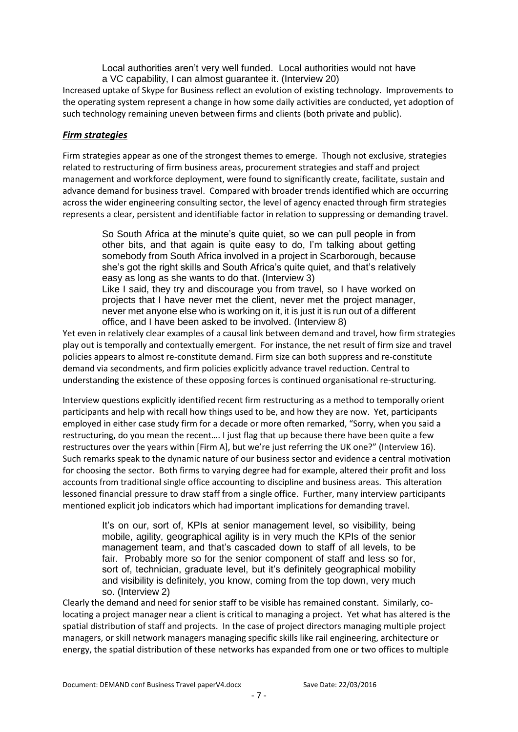Local authorities aren't very well funded. Local authorities would not have a VC capability, I can almost guarantee it. (Interview 20)

Increased uptake of Skype for Business reflect an evolution of existing technology. Improvements to the operating system represent a change in how some daily activities are conducted, yet adoption of such technology remaining uneven between firms and clients (both private and public).

## *Firm strategies*

Firm strategies appear as one of the strongest themes to emerge. Though not exclusive, strategies related to restructuring of firm business areas, procurement strategies and staff and project management and workforce deployment, were found to significantly create, facilitate, sustain and advance demand for business travel. Compared with broader trends identified which are occurring across the wider engineering consulting sector, the level of agency enacted through firm strategies represents a clear, persistent and identifiable factor in relation to suppressing or demanding travel.

> So South Africa at the minute's quite quiet, so we can pull people in from other bits, and that again is quite easy to do, I'm talking about getting somebody from South Africa involved in a project in Scarborough, because she's got the right skills and South Africa's quite quiet, and that's relatively easy as long as she wants to do that. (Interview 3) Like I said, they try and discourage you from travel, so I have worked on projects that I have never met the client, never met the project manager, never met anyone else who is working on it, it is just it is run out of a different office, and I have been asked to be involved. (Interview 8)

Yet even in relatively clear examples of a causal link between demand and travel, how firm strategies play out is temporally and contextually emergent. For instance, the net result of firm size and travel policies appears to almost re-constitute demand. Firm size can both suppress and re-constitute demand via secondments, and firm policies explicitly advance travel reduction. Central to understanding the existence of these opposing forces is continued organisational re-structuring.

Interview questions explicitly identified recent firm restructuring as a method to temporally orient participants and help with recall how things used to be, and how they are now. Yet, participants employed in either case study firm for a decade or more often remarked, "Sorry, when you said a restructuring, do you mean the recent…. I just flag that up because there have been quite a few restructures over the years within [Firm A], but we're just referring the UK one?" (Interview 16). Such remarks speak to the dynamic nature of our business sector and evidence a central motivation for choosing the sector. Both firms to varying degree had for example, altered their profit and loss accounts from traditional single office accounting to discipline and business areas. This alteration lessoned financial pressure to draw staff from a single office. Further, many interview participants mentioned explicit job indicators which had important implications for demanding travel.

> It's on our, sort of, KPIs at senior management level, so visibility, being mobile, agility, geographical agility is in very much the KPIs of the senior management team, and that's cascaded down to staff of all levels, to be fair. Probably more so for the senior component of staff and less so for, sort of, technician, graduate level, but it's definitely geographical mobility and visibility is definitely, you know, coming from the top down, very much so. (Interview 2)

Clearly the demand and need for senior staff to be visible has remained constant. Similarly, colocating a project manager near a client is critical to managing a project. Yet what has altered is the spatial distribution of staff and projects. In the case of project directors managing multiple project managers, or skill network managers managing specific skills like rail engineering, architecture or energy, the spatial distribution of these networks has expanded from one or two offices to multiple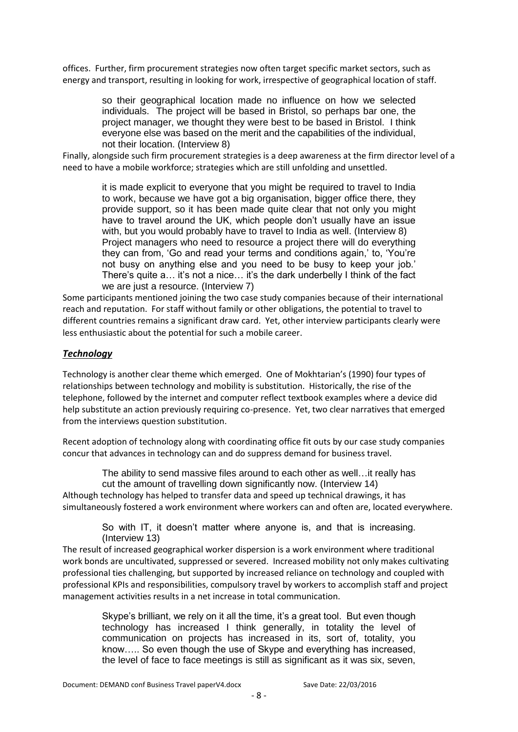offices. Further, firm procurement strategies now often target specific market sectors, such as energy and transport, resulting in looking for work, irrespective of geographical location of staff.

> so their geographical location made no influence on how we selected individuals. The project will be based in Bristol, so perhaps bar one, the project manager, we thought they were best to be based in Bristol. I think everyone else was based on the merit and the capabilities of the individual, not their location. (Interview 8)

Finally, alongside such firm procurement strategies is a deep awareness at the firm director level of a need to have a mobile workforce; strategies which are still unfolding and unsettled.

> it is made explicit to everyone that you might be required to travel to India to work, because we have got a big organisation, bigger office there, they provide support, so it has been made quite clear that not only you might have to travel around the UK, which people don't usually have an issue with, but you would probably have to travel to India as well. (Interview 8) Project managers who need to resource a project there will do everything they can from, 'Go and read your terms and conditions again,' to, 'You're not busy on anything else and you need to be busy to keep your job.' There's quite a… it's not a nice… it's the dark underbelly I think of the fact we are just a resource. (Interview 7)

Some participants mentioned joining the two case study companies because of their international reach and reputation. For staff without family or other obligations, the potential to travel to different countries remains a significant draw card. Yet, other interview participants clearly were less enthusiastic about the potential for such a mobile career.

## *Technology*

Technology is another clear theme which emerged. One of Mokhtarian's (1990) four types of relationships between technology and mobility is substitution. Historically, the rise of the telephone, followed by the internet and computer reflect textbook examples where a device did help substitute an action previously requiring co-presence. Yet, two clear narratives that emerged from the interviews question substitution.

Recent adoption of technology along with coordinating office fit outs by our case study companies concur that advances in technology can and do suppress demand for business travel.

The ability to send massive files around to each other as well…it really has cut the amount of travelling down significantly now. (Interview 14)

Although technology has helped to transfer data and speed up technical drawings, it has simultaneously fostered a work environment where workers can and often are, located everywhere.

> So with IT, it doesn't matter where anyone is, and that is increasing. (Interview 13)

The result of increased geographical worker dispersion is a work environment where traditional work bonds are uncultivated, suppressed or severed. Increased mobility not only makes cultivating professional ties challenging, but supported by increased reliance on technology and coupled with professional KPIs and responsibilities, compulsory travel by workers to accomplish staff and project management activities results in a net increase in total communication.

> Skype's brilliant, we rely on it all the time, it's a great tool. But even though technology has increased I think generally, in totality the level of communication on projects has increased in its, sort of, totality, you know….. So even though the use of Skype and everything has increased, the level of face to face meetings is still as significant as it was six, seven,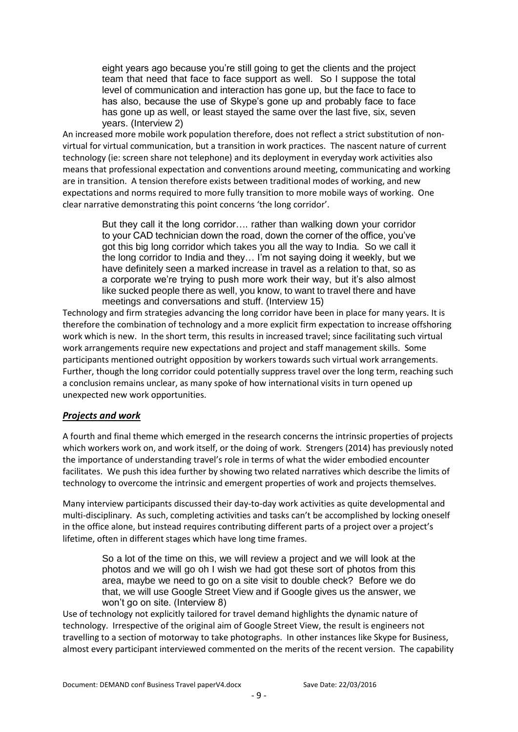eight years ago because you're still going to get the clients and the project team that need that face to face support as well. So I suppose the total level of communication and interaction has gone up, but the face to face to has also, because the use of Skype's gone up and probably face to face has gone up as well, or least stayed the same over the last five, six, seven years. (Interview 2)

An increased more mobile work population therefore, does not reflect a strict substitution of nonvirtual for virtual communication, but a transition in work practices. The nascent nature of current technology (ie: screen share not telephone) and its deployment in everyday work activities also means that professional expectation and conventions around meeting, communicating and working are in transition. A tension therefore exists between traditional modes of working, and new expectations and norms required to more fully transition to more mobile ways of working. One clear narrative demonstrating this point concerns 'the long corridor'.

> But they call it the long corridor…. rather than walking down your corridor to your CAD technician down the road, down the corner of the office, you've got this big long corridor which takes you all the way to India. So we call it the long corridor to India and they… I'm not saying doing it weekly, but we have definitely seen a marked increase in travel as a relation to that, so as a corporate we're trying to push more work their way, but it's also almost like sucked people there as well, you know, to want to travel there and have meetings and conversations and stuff. (Interview 15)

Technology and firm strategies advancing the long corridor have been in place for many years. It is therefore the combination of technology and a more explicit firm expectation to increase offshoring work which is new. In the short term, this results in increased travel; since facilitating such virtual work arrangements require new expectations and project and staff management skills. Some participants mentioned outright opposition by workers towards such virtual work arrangements. Further, though the long corridor could potentially suppress travel over the long term, reaching such a conclusion remains unclear, as many spoke of how international visits in turn opened up unexpected new work opportunities.

## *Projects and work*

A fourth and final theme which emerged in the research concerns the intrinsic properties of projects which workers work on, and work itself, or the doing of work. Strengers (2014) has previously noted the importance of understanding travel's role in terms of what the wider embodied encounter facilitates. We push this idea further by showing two related narratives which describe the limits of technology to overcome the intrinsic and emergent properties of work and projects themselves.

Many interview participants discussed their day-to-day work activities as quite developmental and multi-disciplinary. As such, completing activities and tasks can't be accomplished by locking oneself in the office alone, but instead requires contributing different parts of a project over a project's lifetime, often in different stages which have long time frames.

> So a lot of the time on this, we will review a project and we will look at the photos and we will go oh I wish we had got these sort of photos from this area, maybe we need to go on a site visit to double check? Before we do that, we will use Google Street View and if Google gives us the answer, we won't go on site. (Interview 8)

Use of technology not explicitly tailored for travel demand highlights the dynamic nature of technology. Irrespective of the original aim of Google Street View, the result is engineers not travelling to a section of motorway to take photographs. In other instances like Skype for Business, almost every participant interviewed commented on the merits of the recent version. The capability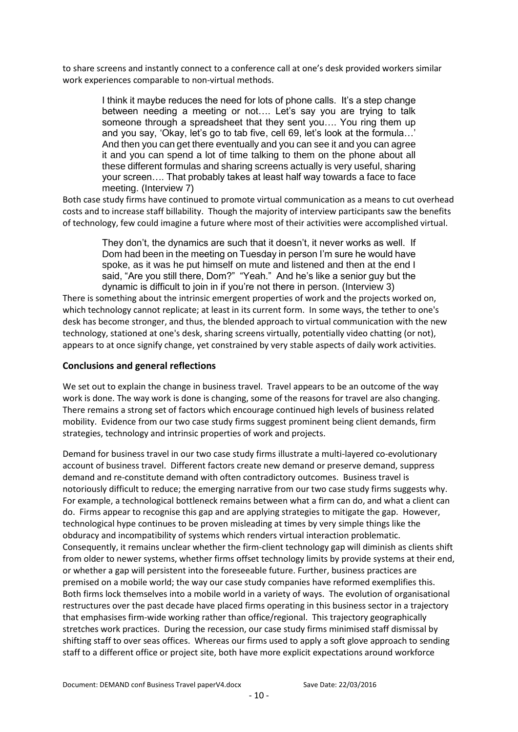to share screens and instantly connect to a conference call at one's desk provided workers similar work experiences comparable to non-virtual methods.

> I think it maybe reduces the need for lots of phone calls. It's a step change between needing a meeting or not…. Let's say you are trying to talk someone through a spreadsheet that they sent you…. You ring them up and you say, 'Okay, let's go to tab five, cell 69, let's look at the formula…' And then you can get there eventually and you can see it and you can agree it and you can spend a lot of time talking to them on the phone about all these different formulas and sharing screens actually is very useful, sharing your screen…. That probably takes at least half way towards a face to face meeting. (Interview 7)

Both case study firms have continued to promote virtual communication as a means to cut overhead costs and to increase staff billability. Though the majority of interview participants saw the benefits of technology, few could imagine a future where most of their activities were accomplished virtual.

> They don't, the dynamics are such that it doesn't, it never works as well. If Dom had been in the meeting on Tuesday in person I'm sure he would have spoke, as it was he put himself on mute and listened and then at the end I said, "Are you still there, Dom?" "Yeah." And he's like a senior guy but the dynamic is difficult to join in if you're not there in person. (Interview 3)

There is something about the intrinsic emergent properties of work and the projects worked on, which technology cannot replicate; at least in its current form. In some ways, the tether to one's desk has become stronger, and thus, the blended approach to virtual communication with the new technology, stationed at one's desk, sharing screens virtually, potentially video chatting (or not), appears to at once signify change, yet constrained by very stable aspects of daily work activities.

## **Conclusions and general reflections**

We set out to explain the change in business travel. Travel appears to be an outcome of the way work is done. The way work is done is changing, some of the reasons for travel are also changing. There remains a strong set of factors which encourage continued high levels of business related mobility. Evidence from our two case study firms suggest prominent being client demands, firm strategies, technology and intrinsic properties of work and projects.

Demand for business travel in our two case study firms illustrate a multi-layered co-evolutionary account of business travel. Different factors create new demand or preserve demand, suppress demand and re-constitute demand with often contradictory outcomes. Business travel is notoriously difficult to reduce; the emerging narrative from our two case study firms suggests why. For example, a technological bottleneck remains between what a firm can do, and what a client can do. Firms appear to recognise this gap and are applying strategies to mitigate the gap. However, technological hype continues to be proven misleading at times by very simple things like the obduracy and incompatibility of systems which renders virtual interaction problematic. Consequently, it remains unclear whether the firm-client technology gap will diminish as clients shift from older to newer systems, whether firms offset technology limits by provide systems at their end, or whether a gap will persistent into the foreseeable future. Further, business practices are premised on a mobile world; the way our case study companies have reformed exemplifies this. Both firms lock themselves into a mobile world in a variety of ways. The evolution of organisational restructures over the past decade have placed firms operating in this business sector in a trajectory that emphasises firm-wide working rather than office/regional. This trajectory geographically stretches work practices. During the recession, our case study firms minimised staff dismissal by shifting staff to over seas offices. Whereas our firms used to apply a soft glove approach to sending staff to a different office or project site, both have more explicit expectations around workforce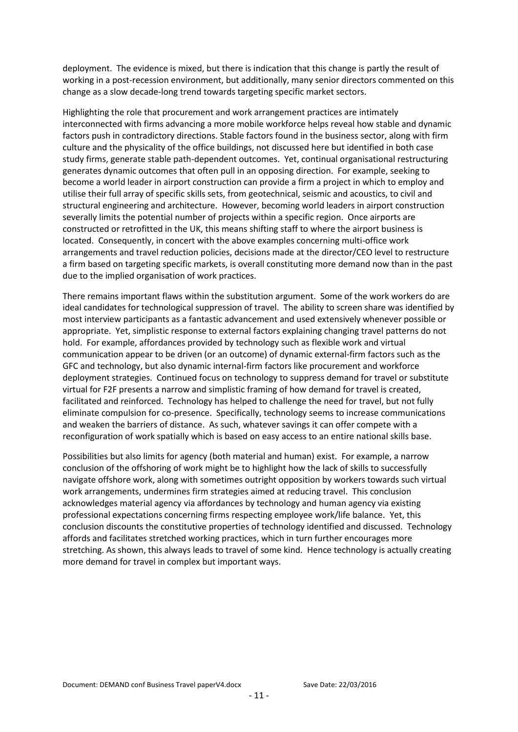deployment. The evidence is mixed, but there is indication that this change is partly the result of working in a post-recession environment, but additionally, many senior directors commented on this change as a slow decade-long trend towards targeting specific market sectors.

Highlighting the role that procurement and work arrangement practices are intimately interconnected with firms advancing a more mobile workforce helps reveal how stable and dynamic factors push in contradictory directions. Stable factors found in the business sector, along with firm culture and the physicality of the office buildings, not discussed here but identified in both case study firms, generate stable path-dependent outcomes. Yet, continual organisational restructuring generates dynamic outcomes that often pull in an opposing direction. For example, seeking to become a world leader in airport construction can provide a firm a project in which to employ and utilise their full array of specific skills sets, from geotechnical, seismic and acoustics, to civil and structural engineering and architecture. However, becoming world leaders in airport construction severally limits the potential number of projects within a specific region. Once airports are constructed or retrofitted in the UK, this means shifting staff to where the airport business is located. Consequently, in concert with the above examples concerning multi-office work arrangements and travel reduction policies, decisions made at the director/CEO level to restructure a firm based on targeting specific markets, is overall constituting more demand now than in the past due to the implied organisation of work practices.

There remains important flaws within the substitution argument. Some of the work workers do are ideal candidates for technological suppression of travel. The ability to screen share was identified by most interview participants as a fantastic advancement and used extensively whenever possible or appropriate. Yet, simplistic response to external factors explaining changing travel patterns do not hold. For example, affordances provided by technology such as flexible work and virtual communication appear to be driven (or an outcome) of dynamic external-firm factors such as the GFC and technology, but also dynamic internal-firm factors like procurement and workforce deployment strategies. Continued focus on technology to suppress demand for travel or substitute virtual for F2F presents a narrow and simplistic framing of how demand for travel is created, facilitated and reinforced. Technology has helped to challenge the need for travel, but not fully eliminate compulsion for co-presence. Specifically, technology seems to increase communications and weaken the barriers of distance. As such, whatever savings it can offer compete with a reconfiguration of work spatially which is based on easy access to an entire national skills base.

Possibilities but also limits for agency (both material and human) exist. For example, a narrow conclusion of the offshoring of work might be to highlight how the lack of skills to successfully navigate offshore work, along with sometimes outright opposition by workers towards such virtual work arrangements, undermines firm strategies aimed at reducing travel. This conclusion acknowledges material agency via affordances by technology and human agency via existing professional expectations concerning firms respecting employee work/life balance. Yet, this conclusion discounts the constitutive properties of technology identified and discussed. Technology affords and facilitates stretched working practices, which in turn further encourages more stretching. As shown, this always leads to travel of some kind. Hence technology is actually creating more demand for travel in complex but important ways.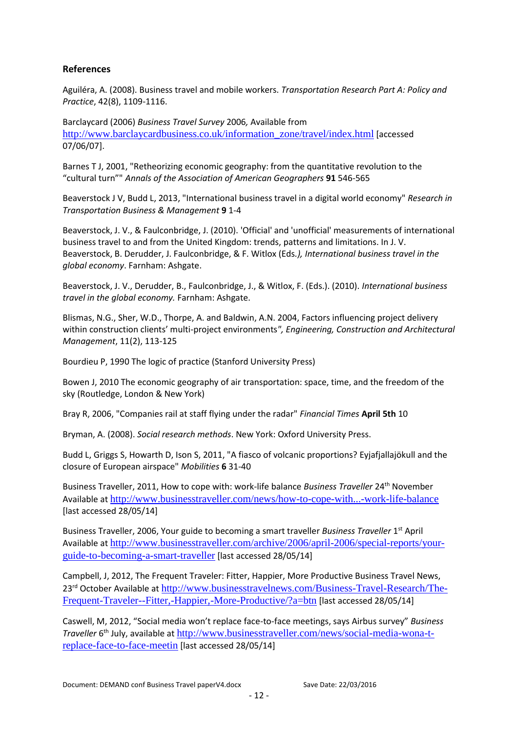## **References**

Aguiléra, A. (2008). Business travel and mobile workers. *Transportation Research Part A: Policy and Practice*, 42(8), 1109-1116.

Barclaycard (2006) *Business Travel Survey* 2006*,* Available from [http://www.barclaycardbusiness.co.uk/information\\_zone/travel/index.html](http://www.barclaycardbusiness.co.uk/information_zone/travel/index.html) [accessed 07/06/07].

Barnes T J, 2001, "Retheorizing economic geography: from the quantitative revolution to the "cultural turn"" *Annals of the Association of American Geographers* **91** 546-565

Beaverstock J V, Budd L, 2013, "International business travel in a digital world economy" *Research in Transportation Business & Management* **9** 1-4

Beaverstock, J. V., & Faulconbridge, J. (2010). 'Official' and 'unofficial' measurements of international business travel to and from the United Kingdom: trends, patterns and limitations. In J. V. Beaverstock, B. Derudder, J. Faulconbridge, & F. Witlox (Eds*.), International business travel in the global economy*. Farnham: Ashgate.

Beaverstock, J. V., Derudder, B., Faulconbridge, J., & Witlox, F. (Eds.). (2010). *International business travel in the global economy.* Farnham: Ashgate.

Blismas, N.G., Sher, W.D., Thorpe, A. and Baldwin, A.N. 2004, Factors influencing project delivery within construction clients' multi-project environments*", Engineering, Construction and Architectural Management*, 11(2), 113-125

Bourdieu P, 1990 The logic of practice (Stanford University Press)

Bowen J, 2010 The economic geography of air transportation: space, time, and the freedom of the sky (Routledge, London & New York)

Bray R, 2006, "Companies rail at staff flying under the radar" *Financial Times* **April 5th** 10

Bryman, A. (2008). *Social research methods*. New York: Oxford University Press.

Budd L, Griggs S, Howarth D, Ison S, 2011, "A fiasco of volcanic proportions? Eyjafjallajökull and the closure of European airspace" *Mobilities* **6** 31-40

Business Traveller, 2011, How to cope with: work-life balance *Business Traveller* 24th November Available at <http://www.businesstraveller.com/news/how-to-cope-with...-work-life-balance> [last accessed 28/05/14]

Business Traveller, 2006, Your guide to becoming a smart traveller Business Traveller 1<sup>st</sup> April Available at [http://www.businesstraveller.com/archive/2006/april-2006/special-reports/your](http://www.businesstraveller.com/archive/2006/april-2006/special-reports/your-guide-to-becoming-a-smart-traveller)[guide-to-becoming-a-smart-traveller](http://www.businesstraveller.com/archive/2006/april-2006/special-reports/your-guide-to-becoming-a-smart-traveller) [last accessed 28/05/14]

Campbell, J, 2012, The Frequent Traveler: Fitter, Happier, More Productive Business Travel News, 23rd October Available at [http://www.businesstravelnews.com/Business-Travel-Research/The-](http://www.businesstravelnews.com/Business-Travel-Research/The-Frequent-Traveler--Fitter,-Happier,-More-Productive/?a=btn)[Frequent-Traveler--Fitter,-Happier,-More-Productive/?a=btn](http://www.businesstravelnews.com/Business-Travel-Research/The-Frequent-Traveler--Fitter,-Happier,-More-Productive/?a=btn) [last accessed 28/05/14]

Caswell, M, 2012, "Social media won't replace face-to-face meetings, says Airbus survey" *Business*  Traveller 6<sup>th</sup> July, available at [http://www.businesstraveller.com/news/social-media-wona-t](http://www.businesstraveller.com/news/social-media-wona-t-replace-face-to-face-meetin)[replace-face-to-face-meetin](http://www.businesstraveller.com/news/social-media-wona-t-replace-face-to-face-meetin) [last accessed 28/05/14]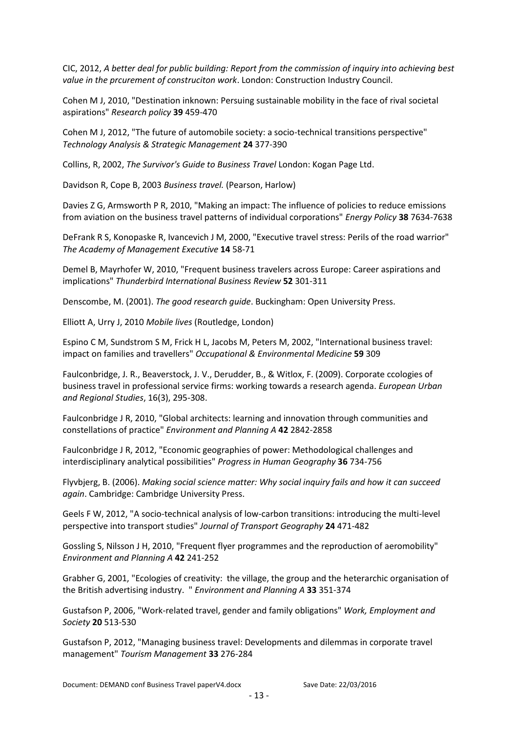CIC, 2012, *A better deal for public building: Report from the commission of inquiry into achieving best value in the prcurement of construciton work*. London: Construction Industry Council.

Cohen M J, 2010, "Destination inknown: Persuing sustainable mobility in the face of rival societal aspirations" *Research policy* **39** 459-470

Cohen M J, 2012, "The future of automobile society: a socio-technical transitions perspective" *Technology Analysis & Strategic Management* **24** 377-390

Collins, R, 2002, *The Survivor's Guide to Business Travel* London: Kogan Page Ltd.

Davidson R, Cope B, 2003 *Business travel.* (Pearson, Harlow)

Davies Z G, Armsworth P R, 2010, "Making an impact: The influence of policies to reduce emissions from aviation on the business travel patterns of individual corporations" *Energy Policy* **38** 7634-7638

DeFrank R S, Konopaske R, Ivancevich J M, 2000, "Executive travel stress: Perils of the road warrior" *The Academy of Management Executive* **14** 58-71

Demel B, Mayrhofer W, 2010, "Frequent business travelers across Europe: Career aspirations and implications" *Thunderbird International Business Review* **52** 301-311

Denscombe, M. (2001). *The good research guide*. Buckingham: Open University Press.

Elliott A, Urry J, 2010 *Mobile lives* (Routledge, London)

Espino C M, Sundstrom S M, Frick H L, Jacobs M, Peters M, 2002, "International business travel: impact on families and travellers" *Occupational & Environmental Medicine* **59** 309

Faulconbridge, J. R., Beaverstock, J. V., Derudder, B., & Witlox, F. (2009). Corporate ccologies of business travel in professional service firms: working towards a research agenda. *European Urban and Regional Studies*, 16(3), 295-308.

Faulconbridge J R, 2010, "Global architects: learning and innovation through communities and constellations of practice" *Environment and Planning A* **42** 2842-2858

Faulconbridge J R, 2012, "Economic geographies of power: Methodological challenges and interdisciplinary analytical possibilities" *Progress in Human Geography* **36** 734-756

Flyvbjerg, B. (2006). *Making social science matter: Why social inquiry fails and how it can succeed again*. Cambridge: Cambridge University Press.

Geels F W, 2012, "A socio-technical analysis of low-carbon transitions: introducing the multi-level perspective into transport studies" *Journal of Transport Geography* **24** 471-482

Gossling S, Nilsson J H, 2010, "Frequent flyer programmes and the reproduction of aeromobility" *Environment and Planning A* **42** 241-252

Grabher G, 2001, "Ecologies of creativity: the village, the group and the heterarchic organisation of the British advertising industry. " *Environment and Planning A* **33** 351-374

Gustafson P, 2006, "Work-related travel, gender and family obligations" *Work, Employment and Society* **20** 513-530

Gustafson P, 2012, "Managing business travel: Developments and dilemmas in corporate travel management" *Tourism Management* **33** 276-284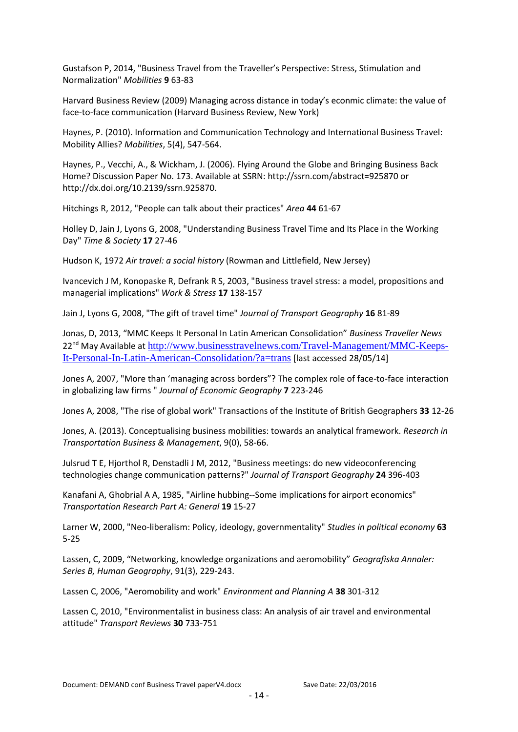Gustafson P, 2014, "Business Travel from the Traveller's Perspective: Stress, Stimulation and Normalization" *Mobilities* **9** 63-83

Harvard Business Review (2009) Managing across distance in today's econmic climate: the value of face-to-face communication (Harvard Business Review, New York)

Haynes, P. (2010). Information and Communication Technology and International Business Travel: Mobility Allies? *Mobilities*, 5(4), 547-564.

Haynes, P., Vecchi, A., & Wickham, J. (2006). Flying Around the Globe and Bringing Business Back Home? Discussion Paper No. 173. Available at SSRN: http://ssrn.com/abstract=925870 or http://dx.doi.org/10.2139/ssrn.925870.

Hitchings R, 2012, "People can talk about their practices" *Area* **44** 61-67

Holley D, Jain J, Lyons G, 2008, "Understanding Business Travel Time and Its Place in the Working Day" *Time & Society* **17** 27-46

Hudson K, 1972 *Air travel: a social history* (Rowman and Littlefield, New Jersey)

Ivancevich J M, Konopaske R, Defrank R S, 2003, "Business travel stress: a model, propositions and managerial implications" *Work & Stress* **17** 138-157

Jain J, Lyons G, 2008, "The gift of travel time" *Journal of Transport Geography* **16** 81-89

Jonas, D, 2013, "MMC Keeps It Personal In Latin American Consolidation" *Business Traveller News* 22<sup>nd</sup> May Available at [http://www.businesstravelnews.com/Travel-Management/MMC-Keeps-](http://www.businesstravelnews.com/Travel-Management/MMC-Keeps-It-Personal-In-Latin-American-Consolidation/?a=trans)[It-Personal-In-Latin-American-Consolidation/?a=trans](http://www.businesstravelnews.com/Travel-Management/MMC-Keeps-It-Personal-In-Latin-American-Consolidation/?a=trans) [last accessed 28/05/14]

Jones A, 2007, "More than 'managing across borders"? The complex role of face-to-face interaction in globalizing law firms " *Journal of Economic Geography* **7** 223-246

Jones A, 2008, "The rise of global work" Transactions of the Institute of British Geographers **33** 12-26

Jones, A. (2013). Conceptualising business mobilities: towards an analytical framework. *Research in Transportation Business & Management*, 9(0), 58-66.

Julsrud T E, Hjorthol R, Denstadli J M, 2012, "Business meetings: do new videoconferencing technologies change communication patterns?" *Journal of Transport Geography* **24** 396-403

Kanafani A, Ghobrial A A, 1985, "Airline hubbing--Some implications for airport economics" *Transportation Research Part A: General* **19** 15-27

Larner W, 2000, "Neo-liberalism: Policy, ideology, governmentality" *Studies in political economy* **63** 5-25

Lassen, C, 2009, "Networking, knowledge organizations and aeromobility" *Geografiska Annaler: Series B, Human Geography*, 91(3), 229-243.

Lassen C, 2006, "Aeromobility and work" *Environment and Planning A* **38** 301-312

Lassen C, 2010, "Environmentalist in business class: An analysis of air travel and environmental attitude" *Transport Reviews* **30** 733-751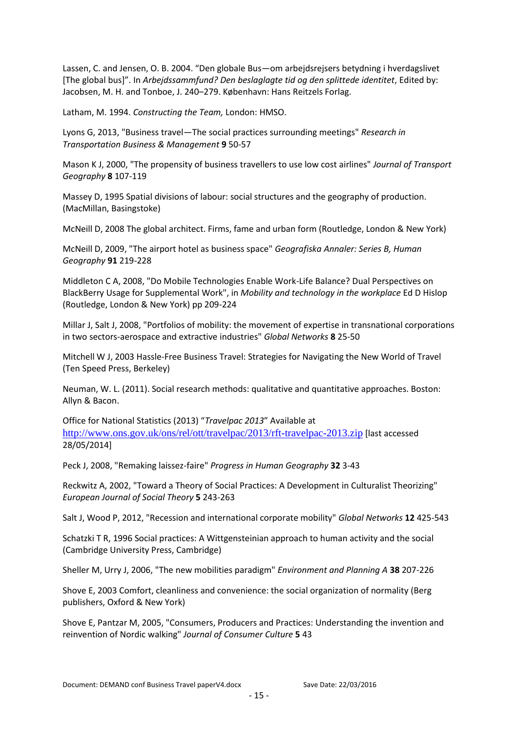Lassen, C. and Jensen, O. B. 2004. "Den globale Bus—om arbejdsrejsers betydning i hverdagslivet [The global bus]". In *Arbejdssammfund? Den beslaglagte tid og den splittede identitet*, Edited by: Jacobsen, M. H. and Tonboe, J. 240–279. København: Hans Reitzels Forlag.

Latham, M. 1994. *Constructing the Team,* London: HMSO.

Lyons G, 2013, "Business travel—The social practices surrounding meetings" *Research in Transportation Business & Management* **9** 50-57

Mason K J, 2000, "The propensity of business travellers to use low cost airlines" *Journal of Transport Geography* **8** 107-119

Massey D, 1995 Spatial divisions of labour: social structures and the geography of production. (MacMillan, Basingstoke)

McNeill D, 2008 The global architect. Firms, fame and urban form (Routledge, London & New York)

McNeill D, 2009, "The airport hotel as business space" *Geografiska Annaler: Series B, Human Geography* **91** 219-228

Middleton C A, 2008, "Do Mobile Technologies Enable Work-Life Balance? Dual Perspectives on BlackBerry Usage for Supplemental Work", in *Mobility and technology in the workplace* Ed D Hislop (Routledge, London & New York) pp 209-224

Millar J, Salt J, 2008, "Portfolios of mobility: the movement of expertise in transnational corporations in two sectors-aerospace and extractive industries" *Global Networks* **8** 25-50

Mitchell W J, 2003 Hassle-Free Business Travel: Strategies for Navigating the New World of Travel (Ten Speed Press, Berkeley)

Neuman, W. L. (2011). Social research methods: qualitative and quantitative approaches. Boston: Allyn & Bacon.

Office for National Statistics (2013) "*Travelpac 2013*" Available at <http://www.ons.gov.uk/ons/rel/ott/travelpac/2013/rft-travelpac-2013.zip> [last accessed 28/05/2014]

Peck J, 2008, "Remaking laissez-faire" *Progress in Human Geography* **32** 3-43

Reckwitz A, 2002, "Toward a Theory of Social Practices: A Development in Culturalist Theorizing" *European Journal of Social Theory* **5** 243-263

Salt J, Wood P, 2012, "Recession and international corporate mobility" *Global Networks* **12** 425-543

Schatzki T R, 1996 Social practices: A Wittgensteinian approach to human activity and the social (Cambridge University Press, Cambridge)

Sheller M, Urry J, 2006, "The new mobilities paradigm" *Environment and Planning A* **38** 207-226

Shove E, 2003 Comfort, cleanliness and convenience: the social organization of normality (Berg publishers, Oxford & New York)

Shove E, Pantzar M, 2005, "Consumers, Producers and Practices: Understanding the invention and reinvention of Nordic walking" *Journal of Consumer Culture* **5** 43